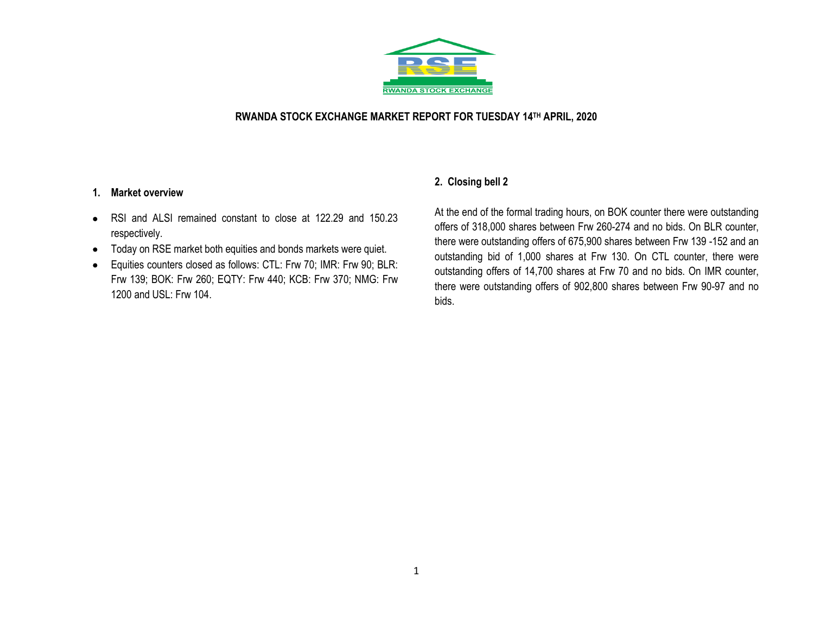

### **RWANDA STOCK EXCHANGE MARKET REPORT FOR TUESDAY 14TH APRIL, 2020**

#### **1. Market overview**

- RSI and ALSI remained constant to close at 122.29 and 150.23 respectively.
- Today on RSE market both equities and bonds markets were quiet.
- Equities counters closed as follows: CTL: Frw 70; IMR: Frw 90; BLR: Frw 139; BOK: Frw 260; EQTY: Frw 440; KCB: Frw 370; NMG: Frw 1200 and USL: Frw 104.

## **2. Closing bell 2**

At the end of the formal trading hours, on BOK counter there were outstanding offers of 318,000 shares between Frw 260-274 and no bids. On BLR counter, there were outstanding offers of 675,900 shares between Frw 139 -152 and an outstanding bid of 1,000 shares at Frw 130. On CTL counter, there were outstanding offers of 14,700 shares at Frw 70 and no bids. On IMR counter, there were outstanding offers of 902,800 shares between Frw 90-97 and no bids.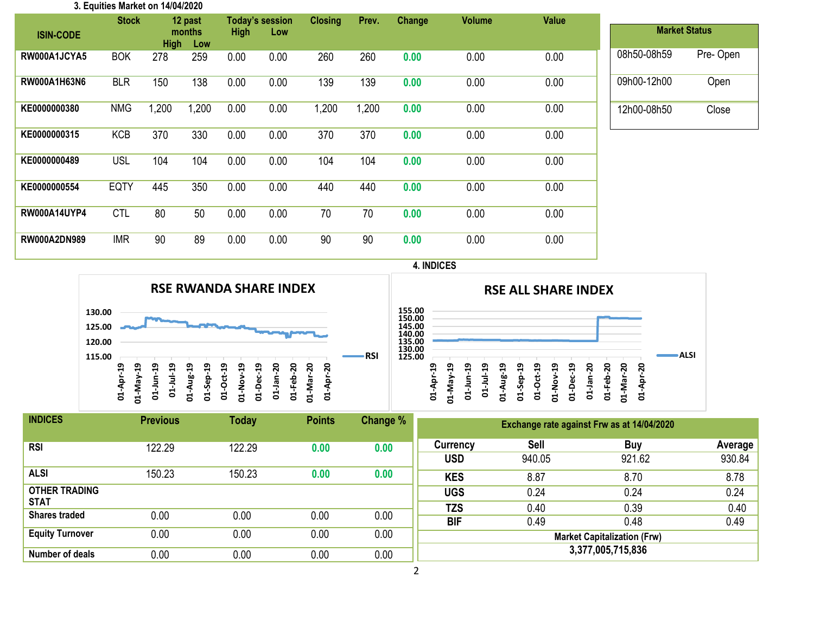| 3. Equities Market on 14/04/2020 |              |                              |       |                        |      |                |       |               |               |       |             |                      |
|----------------------------------|--------------|------------------------------|-------|------------------------|------|----------------|-------|---------------|---------------|-------|-------------|----------------------|
|                                  | <b>Stock</b> | 12 past                      |       | <b>Today's session</b> |      | <b>Closing</b> | Prev. | <b>Change</b> | <b>Volume</b> | Value |             |                      |
| <b>ISIN-CODE</b>                 |              | months<br><b>High</b><br>Low |       | <b>High</b><br>Low     |      |                |       |               |               |       |             | <b>Market Status</b> |
| RW000A1JCYA5                     | <b>BOK</b>   | 278                          | 259   | 0.00                   | 0.00 | 260            | 260   | 0.00          | 0.00          | 0.00  | 08h50-08h59 | Pre-Open             |
| RW000A1H63N6                     | <b>BLR</b>   | 150                          | 138   | 0.00                   | 0.00 | 139            | 139   | 0.00          | 0.00          | 0.00  | 09h00-12h00 | Open                 |
| KE0000000380                     | <b>NMG</b>   | 1,200                        | 1,200 | 0.00                   | 0.00 | 1,200          | 1,200 | 0.00          | 0.00          | 0.00  | 12h00-08h50 | Close                |
| KE0000000315                     | <b>KCB</b>   | 370                          | 330   | 0.00                   | 0.00 | 370            | 370   | 0.00          | 0.00          | 0.00  |             |                      |
| KE0000000489                     | <b>USL</b>   | 104                          | 104   | 0.00                   | 0.00 | 104            | 104   | 0.00          | 0.00          | 0.00  |             |                      |
| KE0000000554                     | <b>EQTY</b>  | 445                          | 350   | 0.00                   | 0.00 | 440            | 440   | 0.00          | 0.00          | 0.00  |             |                      |
| <b>RW000A14UYP4</b>              | <b>CTL</b>   | 80                           | 50    | 0.00                   | 0.00 | 70             | 70    | 0.00          | 0.00          | 0.00  |             |                      |
| RW000A2DN989                     | <b>IMR</b>   | 90                           | 89    | 0.00                   | 0.00 | 90             | 90    | 0.00          | 0.00          | 0.00  |             |                      |

### **4. INDICES**





| <b>INDICES</b>                      | <b>Previous</b> | <b>Today</b> | <b>Points</b> | Change % | Exchange rate against Frw as at 14/04/2020 |                       |                                            |                   |  |  |
|-------------------------------------|-----------------|--------------|---------------|----------|--------------------------------------------|-----------------------|--------------------------------------------|-------------------|--|--|
| <b>RSI</b>                          | 122.29          | 122.29       | 0.00          | 0.00     | Currency<br><b>USD</b>                     | <b>Sell</b><br>940.05 | Buy<br>921.62                              | Average<br>930.84 |  |  |
| <b>ALSI</b>                         | 150.23          | 150.23       | 0.00          | 0.00     | <b>KES</b>                                 | 8.87                  | 8.70                                       | 8.78              |  |  |
| <b>OTHER TRADING</b>                |                 |              |               |          | <b>UGS</b>                                 | 0.24                  | 0.24                                       | 0.24              |  |  |
| <b>STAT</b><br><b>Shares traded</b> | 0.00            | 0.00         | 0.00          | 0.00     | <b>TZS</b>                                 | 0.40                  | 0.39                                       | 0.40              |  |  |
| <b>Equity Turnover</b>              | 0.00            | 0.00         | 0.00          | 0.00     | <b>BIF</b>                                 | 0.49                  | 0.48<br><b>Market Capitalization (Frw)</b> | 0.49              |  |  |
| Number of deals                     | 0.00            | 0.00         | 0.00          | 0.00     | 3,377,005,715,836                          |                       |                                            |                   |  |  |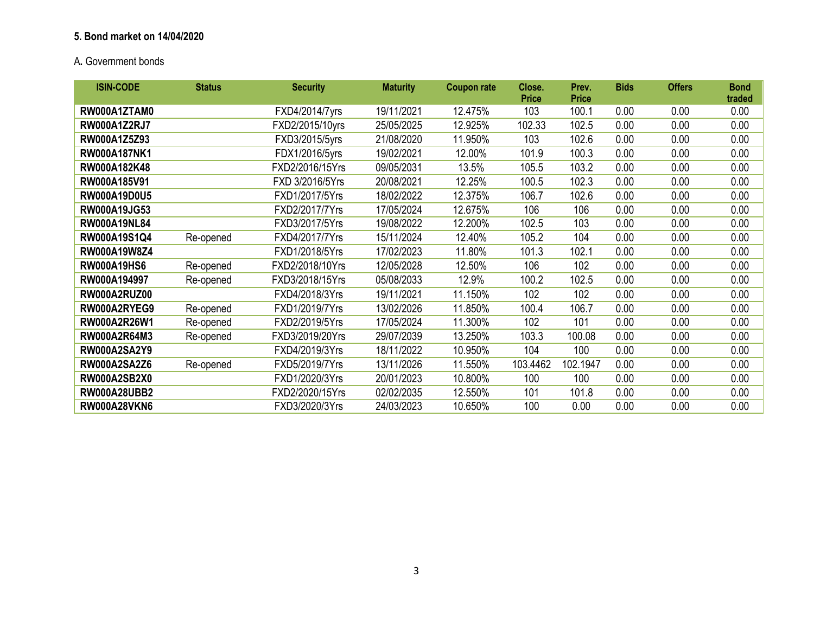# **5. Bond market on 14/04/2020**

# A**.** Government bonds

| <b>ISIN-CODE</b>    | <b>Status</b> | <b>Security</b> | <b>Maturity</b> | <b>Coupon rate</b> | Close.<br><b>Price</b> | Prev.<br><b>Price</b> | <b>Bids</b> | <b>Offers</b> | <b>Bond</b><br>traded |
|---------------------|---------------|-----------------|-----------------|--------------------|------------------------|-----------------------|-------------|---------------|-----------------------|
| RW000A1ZTAM0        |               | FXD4/2014/7yrs  | 19/11/2021      | 12.475%            | 103                    | 100.1                 | 0.00        | 0.00          | 0.00                  |
| <b>RW000A1Z2RJ7</b> |               | FXD2/2015/10yrs | 25/05/2025      | 12.925%            | 102.33                 | 102.5                 | 0.00        | 0.00          | 0.00                  |
| RW000A1Z5Z93        |               | FXD3/2015/5yrs  | 21/08/2020      | 11.950%            | 103                    | 102.6                 | 0.00        | 0.00          | 0.00                  |
| <b>RW000A187NK1</b> |               | FDX1/2016/5yrs  | 19/02/2021      | 12.00%             | 101.9                  | 100.3                 | 0.00        | 0.00          | 0.00                  |
| RW000A182K48        |               | FXD2/2016/15Yrs | 09/05/2031      | 13.5%              | 105.5                  | 103.2                 | 0.00        | 0.00          | 0.00                  |
| RW000A185V91        |               | FXD 3/2016/5Yrs | 20/08/2021      | 12.25%             | 100.5                  | 102.3                 | 0.00        | 0.00          | 0.00                  |
| <b>RW000A19D0U5</b> |               | FXD1/2017/5Yrs  | 18/02/2022      | 12.375%            | 106.7                  | 102.6                 | 0.00        | 0.00          | 0.00                  |
| RW000A19JG53        |               | FXD2/2017/7Yrs  | 17/05/2024      | 12.675%            | 106                    | 106                   | 0.00        | 0.00          | 0.00                  |
| <b>RW000A19NL84</b> |               | FXD3/2017/5Yrs  | 19/08/2022      | 12.200%            | 102.5                  | 103                   | 0.00        | 0.00          | 0.00                  |
| RW000A19S1Q4        | Re-opened     | FXD4/2017/7Yrs  | 15/11/2024      | 12.40%             | 105.2                  | 104                   | 0.00        | 0.00          | 0.00                  |
| RW000A19W8Z4        |               | FXD1/2018/5Yrs  | 17/02/2023      | 11.80%             | 101.3                  | 102.1                 | 0.00        | 0.00          | 0.00                  |
| <b>RW000A19HS6</b>  | Re-opened     | FXD2/2018/10Yrs | 12/05/2028      | 12.50%             | 106                    | 102                   | 0.00        | 0.00          | 0.00                  |
| RW000A194997        | Re-opened     | FXD3/2018/15Yrs | 05/08/2033      | 12.9%              | 100.2                  | 102.5                 | 0.00        | 0.00          | 0.00                  |
| <b>RW000A2RUZ00</b> |               | FXD4/2018/3Yrs  | 19/11/2021      | 11.150%            | 102                    | 102                   | 0.00        | 0.00          | 0.00                  |
| RW000A2RYEG9        | Re-opened     | FXD1/2019/7Yrs  | 13/02/2026      | 11.850%            | 100.4                  | 106.7                 | 0.00        | 0.00          | 0.00                  |
| RW000A2R26W1        | Re-opened     | FXD2/2019/5Yrs  | 17/05/2024      | 11.300%            | 102                    | 101                   | 0.00        | 0.00          | 0.00                  |
| RW000A2R64M3        | Re-opened     | FXD3/2019/20Yrs | 29/07/2039      | 13.250%            | 103.3                  | 100.08                | 0.00        | 0.00          | 0.00                  |
| <b>RW000A2SA2Y9</b> |               | FXD4/2019/3Yrs  | 18/11/2022      | 10.950%            | 104                    | 100                   | 0.00        | 0.00          | 0.00                  |
| <b>RW000A2SA2Z6</b> | Re-opened     | FXD5/2019/7Yrs  | 13/11/2026      | 11.550%            | 103.4462               | 102.1947              | 0.00        | 0.00          | 0.00                  |
| <b>RW000A2SB2X0</b> |               | FXD1/2020/3Yrs  | 20/01/2023      | 10.800%            | 100                    | 100                   | 0.00        | 0.00          | 0.00                  |
| <b>RW000A28UBB2</b> |               | FXD2/2020/15Yrs | 02/02/2035      | 12.550%            | 101                    | 101.8                 | 0.00        | 0.00          | 0.00                  |
| <b>RW000A28VKN6</b> |               | FXD3/2020/3Yrs  | 24/03/2023      | 10.650%            | 100                    | 0.00                  | 0.00        | 0.00          | 0.00                  |